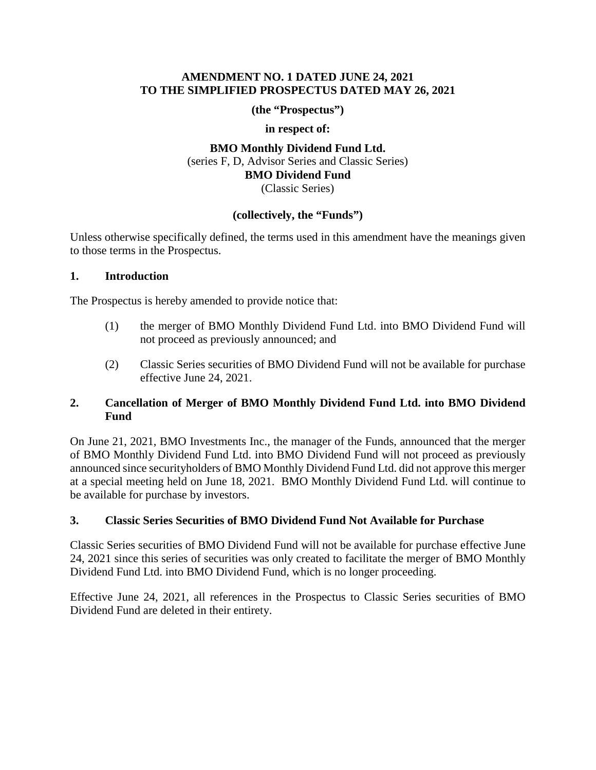### **AMENDMENT NO. 1 DATED JUNE 24, 2021 TO THE SIMPLIFIED PROSPECTUS DATED MAY 26, 2021**

**(the "Prospectus")** 

**in respect of:** 

**BMO Monthly Dividend Fund Ltd.**  (series F, D, Advisor Series and Classic Series) **BMO Dividend Fund**  (Classic Series)

# **(collectively, the "Funds")**

Unless otherwise specifically defined, the terms used in this amendment have the meanings given to those terms in the Prospectus.

#### **1. Introduction**

The Prospectus is hereby amended to provide notice that:

- The Prospectus is hereby amended to provide notice that:<br>
(1) the merger of BMO Monthly Dividend Fund Ltd. into BMO Dividend Fund will not proceed as previously announced; and
	- (2) Classic Series securities of BMO Dividend Fund will not be available for purchase effective June 24, 2021.

### **2. Cancellation of Merger of BMO Monthly Dividend Fund Ltd. into BMO Dividend Fund**

 On June 21, 2021, BMO Investments Inc., the manager of the Funds, announced that the merger of BMO Monthly Dividend Fund Ltd. into BMO Dividend Fund will not proceed as previously announced since securityholders of BMO Monthly Dividend Fund Ltd. did not approve this merger at a special meeting held on June 18, 2021. BMO Monthly Dividend Fund Ltd. will continue to be available for purchase by investors.

# **3. Classic Series Securities of BMO Dividend Fund Not Available for Purchase**

 Classic Series securities of BMO Dividend Fund will not be available for purchase effective June 24, 2021 since this series of securities was only created to facilitate the merger of BMO Monthly Dividend Fund Ltd. into BMO Dividend Fund, which is no longer proceeding.

 Effective June 24, 2021, all references in the Prospectus to Classic Series securities of BMO Dividend Fund are deleted in their entirety.